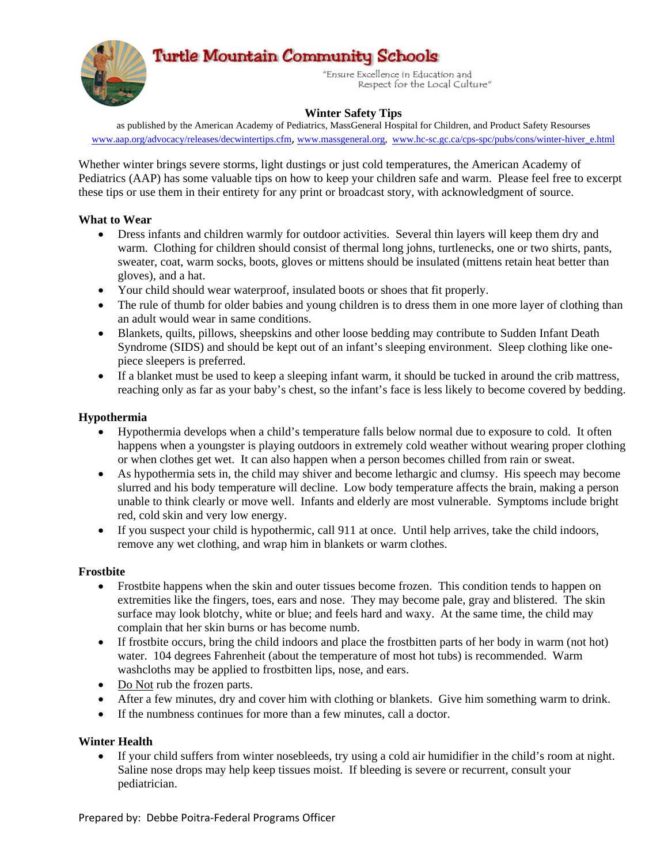

### **Winter Safety Tips**

as published by the American Academy of Pediatrics, MassGeneral Hospital for Children, and Product Safety Resourses [www.aap.org/advocacy/releases/decwintertips.cfm](http://www.aap.org/advocacy/releases/decwintertips.cfm), [www.massgeneral.org](http://www.massgeneral.org/), [www.hc-sc.gc.ca/cps-spc/pubs/cons/winter-hiver\\_e.html](http://www.hc-sc.gc.ca/cps-spc/pubs/cons/winter-hiver_e.html)

Whether winter brings severe storms, light dustings or just cold temperatures, the American Academy of Pediatrics (AAP) has some valuable tips on how to keep your children safe and warm. Please feel free to excerpt these tips or use them in their entirety for any print or broadcast story, with acknowledgment of source.

#### **What to Wear**

- Dress infants and children warmly for outdoor activities. Several thin layers will keep them dry and warm. Clothing for children should consist of thermal long johns, turtlenecks, one or two shirts, pants, sweater, coat, warm socks, boots, gloves or mittens should be insulated (mittens retain heat better than gloves), and a hat.
- Your child should wear waterproof, insulated boots or shoes that fit properly.
- The rule of thumb for older babies and young children is to dress them in one more layer of clothing than an adult would wear in same conditions.
- Blankets, quilts, pillows, sheepskins and other loose bedding may contribute to Sudden Infant Death Syndrome (SIDS) and should be kept out of an infant's sleeping environment. Sleep clothing like onepiece sleepers is preferred.
- If a blanket must be used to keep a sleeping infant warm, it should be tucked in around the crib mattress, reaching only as far as your baby's chest, so the infant's face is less likely to become covered by bedding.

#### **Hypothermia**

- Hypothermia develops when a child's temperature falls below normal due to exposure to cold. It often happens when a youngster is playing outdoors in extremely cold weather without wearing proper clothing or when clothes get wet. It can also happen when a person becomes chilled from rain or sweat.
- As hypothermia sets in, the child may shiver and become lethargic and clumsy. His speech may become slurred and his body temperature will decline. Low body temperature affects the brain, making a person unable to think clearly or move well. Infants and elderly are most vulnerable. Symptoms include bright red, cold skin and very low energy.
- If you suspect your child is hypothermic, call 911 at once. Until help arrives, take the child indoors, remove any wet clothing, and wrap him in blankets or warm clothes.

#### **Frostbite**

- Frostbite happens when the skin and outer tissues become frozen. This condition tends to happen on extremities like the fingers, toes, ears and nose. They may become pale, gray and blistered. The skin surface may look blotchy, white or blue; and feels hard and waxy. At the same time, the child may complain that her skin burns or has become numb.
- If frostbite occurs, bring the child indoors and place the frostbitten parts of her body in warm (not hot) water. 104 degrees Fahrenheit (about the temperature of most hot tubs) is recommended. Warm washcloths may be applied to frostbitten lips, nose, and ears.
- Do Not rub the frozen parts.
- After a few minutes, dry and cover him with clothing or blankets. Give him something warm to drink.
- If the numbness continues for more than a few minutes, call a doctor.

#### **Winter Health**

• If your child suffers from winter nosebleeds, try using a cold air humidifier in the child's room at night. Saline nose drops may help keep tissues moist. If bleeding is severe or recurrent, consult your pediatrician.

Prepared by: Debbe Poitra‐Federal Programs Officer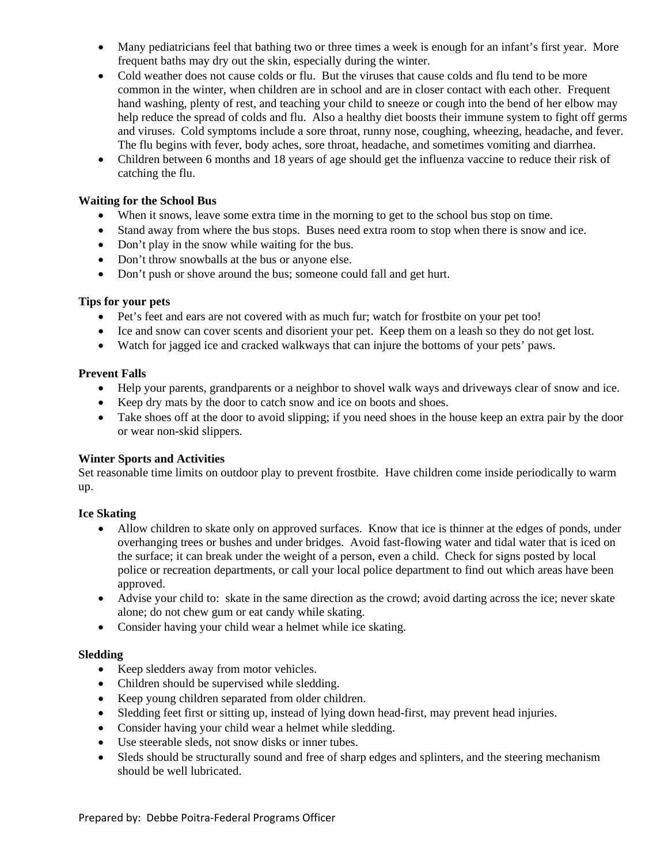- Many pediatricians feel that bathing two or three times a week is enough for an infant's first year. More frequent baths may dry out the skin, especially during the winter.
- Cold weather does not cause colds or flu. But the viruses that cause colds and flu tend to be more common in the winter, when children are in school and are in closer contact with each other. Frequent hand washing, plenty of rest, and teaching your child to sneeze or cough into the bend of her elbow may help reduce the spread of colds and flu. Also a healthy diet boosts their immune system to fight off germs and viruses. Cold symptoms include a sore throat, runny nose, coughing, wheezing, headache, and fever. The flu begins with fever, body aches, sore throat, headache, and sometimes vomiting and diarrhea.
- Children between 6 months and 18 years of age should get the influenza vaccine to reduce their risk of catching the flu.

### **Waiting for the School Bus**

- When it snows, leave some extra time in the morning to get to the school bus stop on time.
- Stand away from where the bus stops. Buses need extra room to stop when there is snow and ice.
- Don't play in the snow while waiting for the bus.
- Don't throw snowballs at the bus or anyone else.
- Don't push or shove around the bus; someone could fall and get hurt.

#### **Tips for your pets**

- Pet's feet and ears are not covered with as much fur; watch for frostbite on your pet too!
- Ice and snow can cover scents and disorient your pet. Keep them on a leash so they do not get lost.
- Watch for jagged ice and cracked walkways that can injure the bottoms of your pets' paws.

### **Prevent Falls**

- Help your parents, grandparents or a neighbor to shovel walk ways and driveways clear of snow and ice.
- Keep dry mats by the door to catch snow and ice on boots and shoes.
- Take shoes off at the door to avoid slipping; if you need shoes in the house keep an extra pair by the door or wear non-skid slippers.

#### **Winter Sports and Activities**

Set reasonable time limits on outdoor play to prevent frostbite. Have children come inside periodically to warm up.

## **Ice Skating**

- Allow children to skate only on approved surfaces. Know that ice is thinner at the edges of ponds, under overhanging trees or bushes and under bridges. Avoid fast-flowing water and tidal water that is iced on the surface; it can break under the weight of a person, even a child. Check for signs posted by local police or recreation departments, or call your local police department to find out which areas have been approved.
- Advise your child to: skate in the same direction as the crowd; avoid darting across the ice; never skate alone; do not chew gum or eat candy while skating.
- Consider having your child wear a helmet while ice skating.

#### **Sledding**

- Keep sledders away from motor vehicles.
- Children should be supervised while sledding.
- Keep young children separated from older children.
- Sledding feet first or sitting up, instead of lying down head-first, may prevent head injuries.
- Consider having your child wear a helmet while sledding.
- Use steerable sleds, not snow disks or inner tubes.
- Sleds should be structurally sound and free of sharp edges and splinters, and the steering mechanism should be well lubricated.